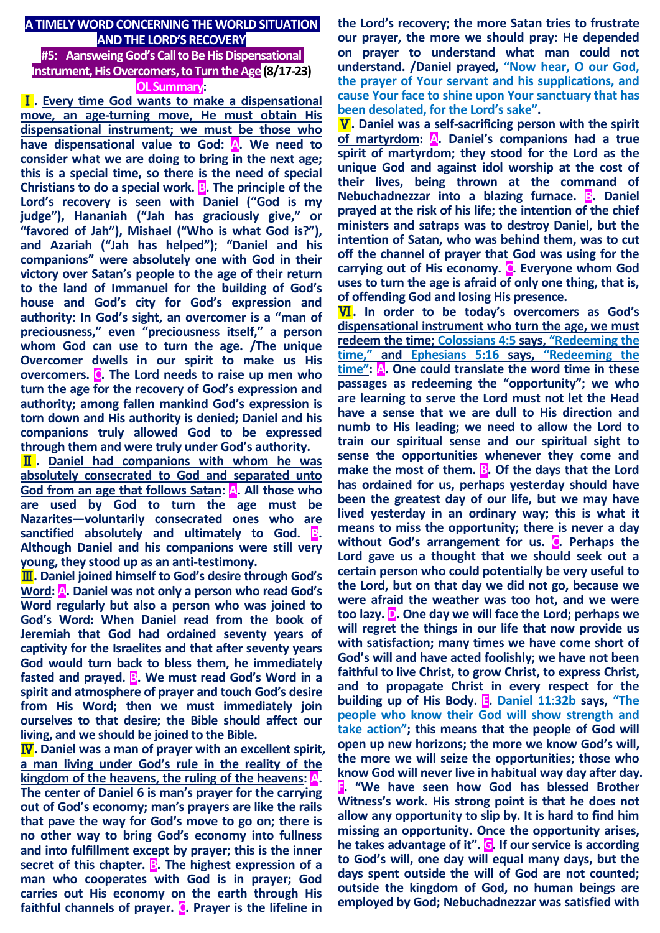# **A TIMELY WORD CONCERNING THE WORLD SITUATION AND THE LORD'S RECOVERY**

## **#5: Aansweing God's Call to Be His Dispensational Instrument, His Overcomers, to Turn the Age (8/17-23) OL Summary:**

Ⅰ**. Every time God wants to make a dispensational move, an age-turning move, He must obtain His dispensational instrument; we must be those who**  have dispensational value to God: A. We need to **consider what we are doing to bring in the next age; this is a special time, so there is the need of special Christians to do a special work. B. The principle of the Lord's recovery is seen with Daniel ("God is my judge"), Hananiah ("Jah has graciously give," or "favored of Jah"), Mishael ("Who is what God is?"), and Azariah ("Jah has helped"); "Daniel and his companions" were absolutely one with God in their victory over Satan's people to the age of their return to the land of Immanuel for the building of God's house and God's city for God's expression and authority: In God's sight, an overcomer is a "man of preciousness," even "preciousness itself," a person whom God can use to turn the age. /The unique Overcomer dwells in our spirit to make us His overcomers. C. The Lord needs to raise up men who turn the age for the recovery of God's expression and authority; among fallen mankind God's expression is torn down and His authority is denied; Daniel and his companions truly allowed God to be expressed through them and were truly under God's authority.** 

Ⅱ**. Daniel had companions with whom he was absolutely consecrated to God and separated unto God from an age that follows Satan: A. All those who are used by God to turn the age must be Nazarites—voluntarily consecrated ones who are sanctified absolutely and ultimately to God. B. Although Daniel and his companions were still very young, they stood up as an anti-testimony.**

Ⅲ**. Daniel joined himself to God's desire through God's Word: A. Daniel was not only a person who read God's Word regularly but also a person who was joined to God's Word: When Daniel read from the book of Jeremiah that God had ordained seventy years of captivity for the Israelites and that after seventy years God would turn back to bless them, he immediately fasted and prayed. B. We must read God's Word in a spirit and atmosphere of prayer and touch God's desire from His Word; then we must immediately join ourselves to that desire; the Bible should affect our living, and we should be joined to the Bible.** 

Ⅳ**. Daniel was a man of prayer with an excellent spirit, a man living under God's rule in the reality of the kingdom of the heavens, the ruling of the heavens: A. The center of Daniel 6 is man's prayer for the carrying out of God's economy; man's prayers are like the rails that pave the way for God's move to go on; there is no other way to bring God's economy into fullness and into fulfillment except by prayer; this is the inner**  secret of this chapter. **B**. The highest expression of a **man who cooperates with God is in prayer; God carries out His economy on the earth through His faithful channels of prayer. C. Prayer is the lifeline in** 

**the Lord's recovery; the more Satan tries to frustrate our prayer, the more we should pray: He depended on prayer to understand what man could not understand. /Daniel prayed, "Now hear, O our God, the prayer of Your servant and his supplications, and cause Your face to shine upon Your sanctuary that has been desolated, for the Lord's sake".** 

Ⅴ**. Daniel was a self-sacrificing person with the spirit of martyrdom: A. Daniel's companions had a true spirit of martyrdom; they stood for the Lord as the unique God and against idol worship at the cost of their lives, being thrown at the command of Nebuchadnezzar into a blazing furnace. B. Daniel prayed at the risk of his life; the intention of the chief ministers and satraps was to destroy Daniel, but the intention of Satan, who was behind them, was to cut off the channel of prayer that God was using for the carrying out of His economy. C. Everyone whom God uses to turn the age is afraid of only one thing, that is, of offending God and losing His presence.**

Ⅵ**. In order to be today's overcomers as God's dispensational instrument who turn the age, we must redeem the time; Colossians 4:5 says, "Redeeming the time," and Ephesians 5:16 says, "Redeeming the time": A. One could translate the word time in these passages as redeeming the "opportunity"; we who are learning to serve the Lord must not let the Head have a sense that we are dull to His direction and numb to His leading; we need to allow the Lord to train our spiritual sense and our spiritual sight to sense the opportunities whenever they come and make the most of them. B. Of the days that the Lord has ordained for us, perhaps yesterday should have been the greatest day of our life, but we may have lived yesterday in an ordinary way; this is what it means to miss the opportunity; there is never a day without God's arrangement for us. C. Perhaps the Lord gave us a thought that we should seek out a certain person who could potentially be very useful to the Lord, but on that day we did not go, because we were afraid the weather was too hot, and we were too lazy. D. One day we will face the Lord; perhaps we will regret the things in our life that now provide us with satisfaction; many times we have come short of God's will and have acted foolishly; we have not been faithful to live Christ, to grow Christ, to express Christ, and to propagate Christ in every respect for the building up of His Body. E. Daniel 11:32b says, "The people who know their God will show strength and take action"; this means that the people of God will open up new horizons; the more we know God's will, the more we will seize the opportunities; those who know God will never live in habitual way day after day. F. "We have seen how God has blessed Brother Witness's work. His strong point is that he does not allow any opportunity to slip by. It is hard to find him missing an opportunity. Once the opportunity arises, he takes advantage of it". G. If our service is according to God's will, one day will equal many days, but the days spent outside the will of God are not counted; outside the kingdom of God, no human beings are employed by God; Nebuchadnezzar was satisfied with**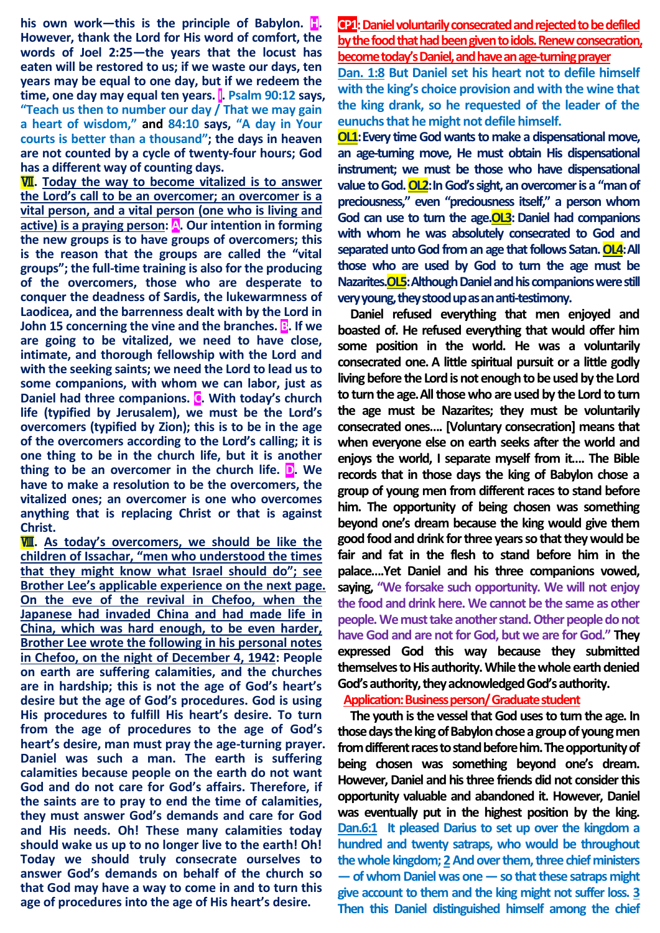**his own work—this is the principle of Babylon. <b>H**. **However, thank the Lord for His word of comfort, the words of Joel 2:25—the years that the locust has eaten will be restored to us; if we waste our days, ten years may be equal to one day, but if we redeem the time, one day may equal ten years. I. Psalm 90:12 says, "Teach us then to number our day / That we may gain a heart of wisdom," and 84:10 says, "A day in Your courts is better than a thousand"; the days in heaven are not counted by a cycle of twenty-four hours; God has a different way of counting days.**

Ⅶ**. Today the way to become vitalized is to answer the Lord's call to be an overcomer; an overcomer is a vital person, and a vital person (one who is living and active) is a praying person: A. Our intention in forming the new groups is to have groups of overcomers; this is the reason that the groups are called the "vital groups"; the full-time training is also for the producing of the overcomers, those who are desperate to conquer the deadness of Sardis, the lukewarmness of Laodicea, and the barrenness dealt with by the Lord in John 15 concerning the vine and the branches. B. If we are going to be vitalized, we need to have close, intimate, and thorough fellowship with the Lord and with the seeking saints; we need the Lord to lead us to some companions, with whom we can labor, just as Daniel had three companions. C. With today's church life (typified by Jerusalem), we must be the Lord's overcomers (typified by Zion); this is to be in the age of the overcomers according to the Lord's calling; it is one thing to be in the church life, but it is another thing to be an overcomer in the church life. D. We have to make a resolution to be the overcomers, the vitalized ones; an overcomer is one who overcomes anything that is replacing Christ or that is against Christ.** 

**WI.** As today's overcomers, we should be like the **children of Issachar, "men who understood the times that they might know what Israel should do"; see Brother Lee's applicable experience on the next page. On the eve of the revival in Chefoo, when the Japanese had invaded China and had made life in China, which was hard enough, to be even harder, Brother Lee wrote the following in his personal notes in Chefoo, on the night of December 4, 1942: People on earth are suffering calamities, and the churches are in hardship; this is not the age of God's heart's desire but the age of God's procedures. God is using His procedures to fulfill His heart's desire. To turn from the age of procedures to the age of God's heart's desire, man must pray the age-turning prayer. Daniel was such a man. The earth is suffering calamities because people on the earth do not want God and do not care for God's affairs. Therefore, if the saints are to pray to end the time of calamities, they must answer God's demands and care for God and His needs. Oh! These many calamities today should wake us up to no longer live to the earth! Oh! Today we should truly consecrate ourselves to answer God's demands on behalf of the church so that God may have a way to come in and to turn this age of procedures into the age of His heart's desire.**

**CP1:** Daniel voluntarily consecrated and rejected to be defiled **by the food that had been given to idols. Renew consecration, become today's Daniel, and have an age-turning prayer**

**Dan. 1:8 But Daniel set his heart not to defile himself with the king's choice provision and with the wine that the king drank, so he requested of the leader of the eunuchs that he might not defile himself.**

**OL1:Every time God wants to make a dispensational move, an age-turning move, He must obtain His dispensational instrument; we must be those who have dispensational value to God. OL2:In God's sight, an overcomer is a "man of preciousness," even "preciousness itself," a person whom**  God can use to turn the age. OL3: Daniel had companions **with whom he was absolutely consecrated to God and**  separated unto God from an age that follows Satan. OL4: All **those who are used by God to turn the age must be Nazarites.OL5:Although Daniel and his companions were still very young, they stood up as an anti-testimony.**

**Daniel refused everything that men enjoyed and boasted of. He refused everything that would offer him some position in the world. He was a voluntarily consecrated one. A little spiritual pursuit or a little godly living before the Lord is not enough to be used by the Lord to turn the age.All those who are used by the Lord to turn the age must be Nazarites; they must be voluntarily consecrated ones…. [Voluntary consecration] means that when everyone else on earth seeks after the world and enjoys the world, I separate myself from it…. The Bible records that in those days the king of Babylon chose a group of young men from different races to stand before him. The opportunity of being chosen was something beyond one's dream because the king would give them good food and drink for three years so that they would be fair and fat in the flesh to stand before him in the palace….Yet Daniel and his three companions vowed, saying, "We forsake such opportunity. We will not enjoy the food and drink here. We cannot be the same as other people. We must take another stand. Other people do not have God and are not for God, but we are for God." They expressed God this way because they submitted themselves to His authority. While the whole earth denied God's authority, they acknowledged God's authority.**

**Application: Business person/ Graduate student**

**The youth is the vessel that God uses to turn the age. In those days the king of Babylon chose a group of young men from different races to stand before him. The opportunity of being chosen was something beyond one's dream. However, Daniel and his three friends did not consider this opportunity valuable and abandoned it. However, Daniel was eventually put in the highest position by the king. Dan.6:1 It pleased Darius to set up over the kingdom a hundred and twenty satraps, who would be throughout the whole kingdom; 2And over them, three chief ministers —of whom Daniel was one —so that these satraps might give account to them and the king might not suffer loss. 3 Then this Daniel distinguished himself among the chief**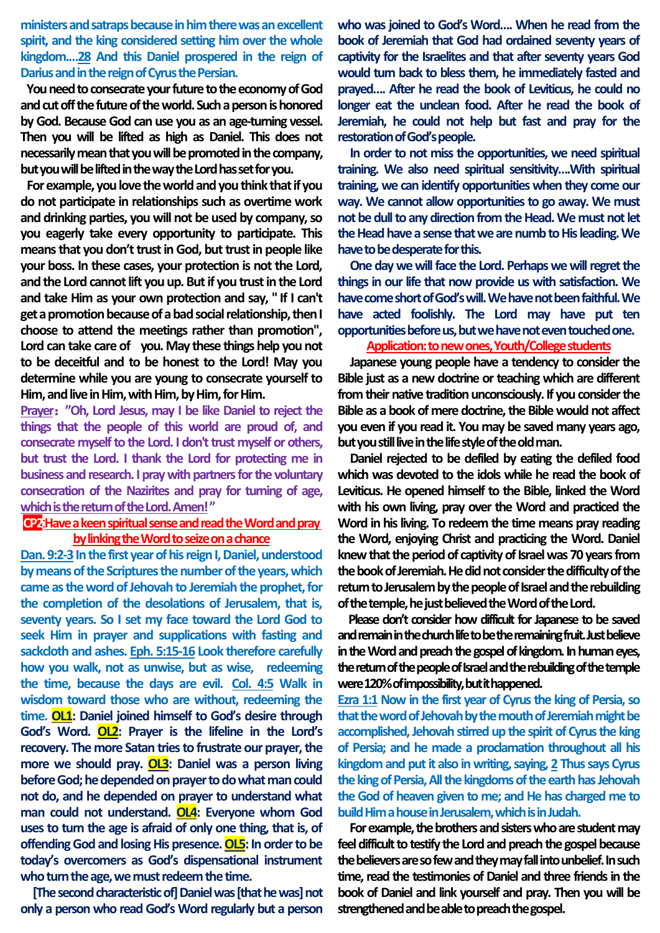**ministers and satraps because in him there was anexcellent spirit, and the king considered setting him over the whole kingdom.…28 And this Daniel prospered in the reign of Darius and in the reign of Cyrus the Persian.**

**You need to consecrate your future to the economy of God and cut off the future of theworld. Such a person is honored by God. Because God can use you as an age-turning vessel. Then you will be lifted as high as Daniel. This does not necessarily mean that you will be promoted in the company, but you will be lifted in the way the Lord has set for you.**

**For example, you love the world and you think that if you do not participate in relationships such as overtime work and drinking parties, you will not be used by company, so you eagerly take every opportunity to participate. This means that you don't trust in God, but trust in people like your boss. In these cases, your protection is not the Lord, and the Lord cannot lift you up. But if you trust in the Lord and take Him as your own protection and say, " If I can't get a promotion because of a bad social relationship, then I choose to attend the meetings rather than promotion", Lord can take care of you. May these things help you not to be deceitful and to be honest to the Lord! May you determine while you are young to consecrate yourself to Him,and live in Him, with Him, by Him, for Him.**

**Prayer**:**"Oh, Lord Jesus, may I be like Daniel to reject the things that the people of this world are proud of, and consecrate myself to the Lord. I don't trust myself or others, but trust the Lord. I thank the Lord for protecting me in business and research. I pray with partners for the voluntary consecration of the Nazirites and pray for turning of age, which is the return of the Lord. Amen!"**

# **CP2**:**Havea keen spiritual sense and read the Word and pray by linking the Word to seize on a chance**

**Dan. 9:2-3 In the first year of his reign I, Daniel, understood by means of the Scriptures the number of the years, which came as the word of Jehovah to Jeremiah the prophet, for the completion of the desolations of Jerusalem, that is, seventy years. So I set my face toward the Lord God to seek Him in prayer and supplications with fasting and sackcloth and ashes. Eph. 5:15-16 Look therefore carefully how you walk, not as unwise, but as wise, redeeming the time, because the days are evil. Col. 4:5 Walk in wisdom toward those who are without, redeeming the time. OL1: Daniel joined himself to God's desire through God's Word. OL2: Prayer is the lifeline in the Lord's recovery. The more Satan tries to frustrate our prayer, the more we should pray. OL3: Daniel was a person living before God; he depended on prayer to do what man could not do, and he depended on prayer to understand what man could not understand. OL4: Everyone whom God uses to turn the age is afraid of only one thing, that is, of offending God and losing His presence. OL5: In order to be today's overcomers as God's dispensational instrument who turn the age, we must redeem the time.**

**[The second characteristic of] Daniel was [that he was] not only a person who read God's Word regularly but a person** 

who was joined to God's Word.... When he read from the **book of Jeremiah that God had ordained seventy years of captivity for the Israelites and that after seventy years God would turn back to bless them, he immediately fasted and prayed…. After he read the book of Leviticus, he could no longer eat the unclean food. After he read the book of Jeremiah, he could not help but fast and pray for the restoration of God's people.** 

**In order to not miss the opportunities, we need spiritual training. We also need spiritual sensitivity….With spiritual training, we can identify opportunities when they come our way. We cannot allow opportunities to go away. We must not be dull to any direction from the Head. We must not let the Head have a sense that we are numb to His leading. We have to be desperate for this.** 

**One day we will face the Lord. Perhaps we will regret the things in our life that now provide us with satisfaction. We have come short of God's will. We have not been faithful. We have acted foolishly. The Lord may have put ten opportunities before us, but we have not even touched one.** 

#### **Application: to new ones, Youth/College students**

**Japanese young people have a tendency to consider the Bible just as a new doctrine or teaching which are different from their native tradition unconsciously. If you consider the Bible as a book of mere doctrine, the Bible would not affect you even if you read it. You may be saved many years ago, but you still live in the life style of the old man.** 

**Daniel rejected to be defiled by eating the defiled food which was devoted to the idols while he read the book of Leviticus. He opened himself to the Bible, linked the Word with his own living, pray over the Word and practiced the Word in his living. To redeem the time means pray reading the Word, enjoying Christ and practicing the Word. Daniel knew that the period of captivity of Israel was 70 years from the book of Jeremiah. He did not considerthe difficulty of the return to Jerusalem by the people of Israel and the rebuilding of the temple, he just believed the Word of the Lord.**

**Please don't consider how difficult for Japanese to be saved and remain in the church life to be the remaining fruit. Just believe in the Word and preach the gospel of kingdom. In human eyes, the return of the people of Israel and the rebuilding of the temple**  were 120% of impossibility, but it happened.

**Ezra 1:1 Now in the first year of Cyrus the king of Persia, so that the word of Jehovah by the mouth of Jeremiah might be accomplished, Jehovah stirred up the spirit of Cyrus the king of Persia; and he made a proclamation throughout all his kingdom and put it also in writing, saying, 2 Thus says Cyrus the king of Persia, All the kingdoms of the earth has Jehovah the God of heaven given to me; and He has charged me to build Him a house in Jerusalem, which is in Judah.** 

**For example, the brothers and sisters who are student may feel difficult to testify the Lord and preach the gospel because the believers are so few and they may fall into unbelief. In such time, read the testimonies of Daniel and three friends in the book of Daniel and link yourself and pray. Then you will be strengthened and be able to preach the gospel.**